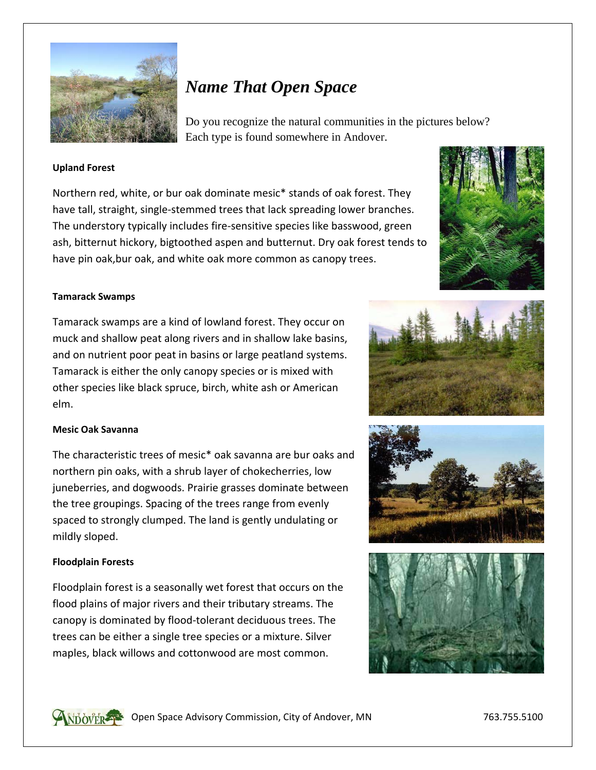

# *Name That Open Space*

Do you recognize the natural communities in the pictures below? Each type is found somewhere in Andover.

## **Upland Forest**

Northern red, white, or bur oak dominate mesic\* stands of oak forest. They have tall, straight, single‐stemmed trees that lack spreading lower branches. The understory typically includes fire‐sensitive species like basswood, green ash, bitternut hickory, bigtoothed aspen and butternut. Dry oak forest tends to have pin oak,bur oak, and white oak more common as canopy trees.



#### **Tamarack Swamps**

Tamarack swamps are a kind of lowland forest. They occur on muck and shallow peat along rivers and in shallow lake basins, and on nutrient poor peat in basins or large peatland systems. Tamarack is either the only canopy species or is mixed with other species like black spruce, birch, white ash or American elm.

#### **Mesic Oak Savanna**

The characteristic trees of mesic\* oak savanna are bur oaks and northern pin oaks, with a shrub layer of chokecherries, low juneberries, and dogwoods. Prairie grasses dominate between the tree groupings. Spacing of the trees range from evenly spaced to strongly clumped. The land is gently undulating or mildly sloped.

#### **Floodplain Forests**

Floodplain forest is a seasonally wet forest that occurs on the flood plains of major rivers and their tributary streams. The canopy is dominated by flood‐tolerant deciduous trees. The trees can be either a single tree species or a mixture. Silver maples, black willows and cottonwood are most common.









**ON SHEARED Space Advisory Commission, City of Andover, MN** 763.755.5100